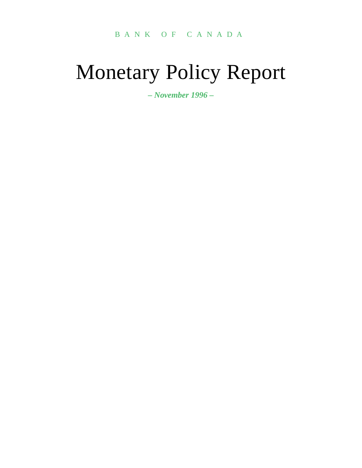### BANK OF CANADA

# Monetary Policy Report

*– November 1996 –*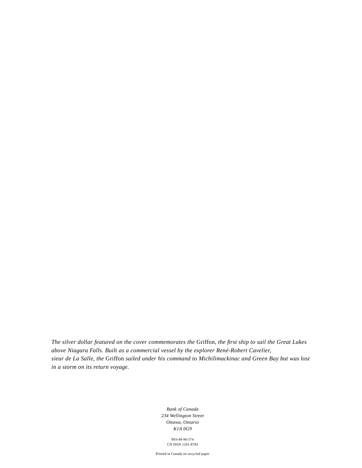*The silver dollar featured on the cover commemorates the* Griffon*, the first ship to sail the Great Lakes above Niagara Falls. Built as a commercial vessel by the explorer René-Robert Cavelier, sieur de La Salle, the* Griffon *sailed under his command to Michilimackinac and Green Bay but was lost in a storm on its return voyage.*

> *Bank of Canada 234 Wellington Street Ottawa, Ontario K1A 0G9*

> > 893-49-90-574 CN ISSN 1201-8783

Printed in Canada on recycled paper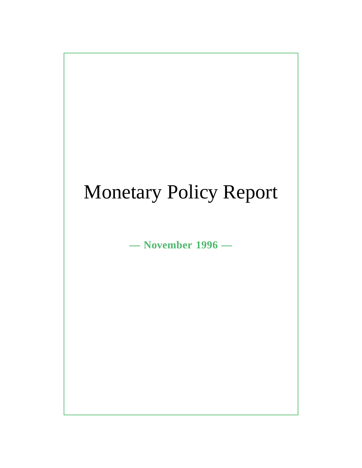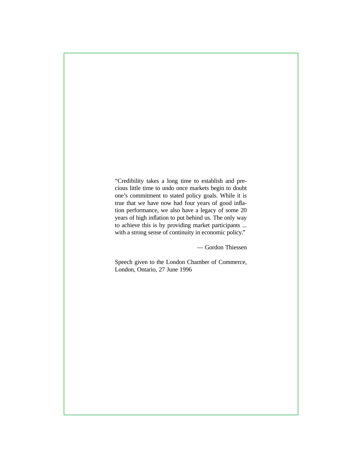"Credibility takes a long time to establish and precious little time to undo once markets begin to doubt one's commitment to stated policy goals. While it is true that we have now had four years of good inflation performance, we also have a legacy of some 20 years of high inflation to put behind us. The only way to achieve this is by providing market participants ... with a strong sense of continuity in economic policy."

— Gordon Thiessen

Speech given to the London Chamber of Commerce, London, Ontario, 27 June 1996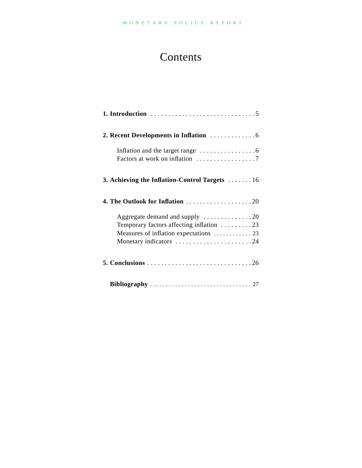# Contents

| Inflation and the target range $\dots \dots \dots \dots \dots$ |
|----------------------------------------------------------------|
| 3. Achieving the Inflation-Control Targets 16                  |
|                                                                |
| Aggregate demand and supply $\dots \dots \dots \dots \dots 20$ |
| Temporary factors affecting inflation 23                       |
| Measures of inflation expectations  23                         |
| Monetary indicators 24                                         |
|                                                                |
|                                                                |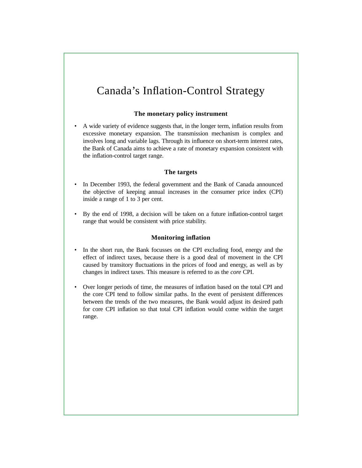# Canada's Inflation-Control Strategy

#### **The monetary policy instrument**

• A wide variety of evidence suggests that, in the longer term, inflation results from excessive monetary expansion. The transmission mechanism is complex and involves long and variable lags. Through its influence on short-term interest rates, the Bank of Canada aims to achieve a rate of monetary expansion consistent with the inflation-control target range.

#### **The targets**

- In December 1993, the federal government and the Bank of Canada announced the objective of keeping annual increases in the consumer price index (CPI) inside a range of 1 to 3 per cent.
- By the end of 1998, a decision will be taken on a future inflation-control target range that would be consistent with price stability.

#### **Monitoring inflation**

- In the short run, the Bank focusses on the CPI excluding food, energy and the effect of indirect taxes, because there is a good deal of movement in the CPI caused by transitory fluctuations in the prices of food and energy, as well as by changes in indirect taxes. This measure is referred to as the *core* CPI.
- Over longer periods of time, the measures of inflation based on the total CPI and the core CPI tend to follow similar paths. In the event of persistent differences between the trends of the two measures, the Bank would adjust its desired path for core CPI inflation so that total CPI inflation would come within the target range.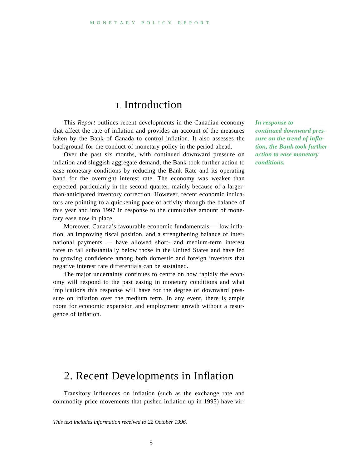### 1. Introduction

This *Report* outlines recent developments in the Canadian economy that affect the rate of inflation and provides an account of the measures taken by the Bank of Canada to control inflation. It also assesses the background for the conduct of monetary policy in the period ahead.

Over the past six months, with continued downward pressure on inflation and sluggish aggregate demand, the Bank took further action to ease monetary conditions by reducing the Bank Rate and its operating band for the overnight interest rate. The economy was weaker than expected, particularly in the second quarter, mainly because of a largerthan-anticipated inventory correction. However, recent economic indicators are pointing to a quickening pace of activity through the balance of this year and into 1997 in response to the cumulative amount of monetary ease now in place.

Moreover, Canada's favourable economic fundamentals — low inflation, an improving fiscal position, and a strengthening balance of international payments — have allowed short- and medium-term interest rates to fall substantially below those in the United States and have led to growing confidence among both domestic and foreign investors that negative interest rate differentials can be sustained.

The major uncertainty continues to centre on how rapidly the economy will respond to the past easing in monetary conditions and what implications this response will have for the degree of downward pressure on inflation over the medium term. In any event, there is ample room for economic expansion and employment growth without a resurgence of inflation.

*In response to continued downward pressure on the trend of inflation, the Bank took further action to ease monetary conditions.*

### 2. Recent Developments in Inflation

Transitory influences on inflation (such as the exchange rate and commodity price movements that pushed inflation up in 1995) have vir-

*This text includes information received to 22 October 1996.*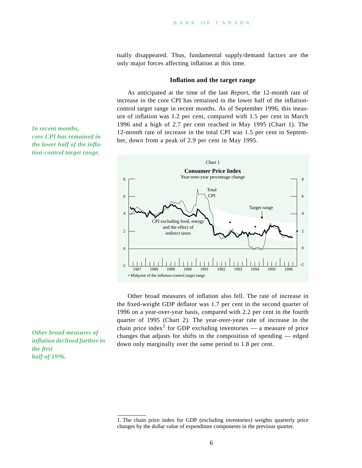tually disappeared. Thus, fundamental supply/demand factors are the only major forces affecting inflation at this time.

#### **Inflation and the target range**

As anticipated at the time of the last *Report*, the 12-month rate of increase in the core CPI has remained in the lower half of the inflationcontrol target range in recent months. As of September 1996, this measure of inflation was 1.2 per cent, compared with 1.5 per cent in March 1996 and a high of 2.7 per cent reached in May 1995 (Chart 1). The 12-month rate of increase in the total CPI was 1.5 per cent in September, down from a peak of 2.9 per cent in May 1995.



Other broad measures of inflation also fell. The rate of increase in the fixed-weight GDP deflator was 1.7 per cent in the second quarter of 1996 on a year-over-year basis, compared with 2.2 per cent in the fourth quarter of 1995 (Chart 2). The year-over-year rate of increase in the chain price index<sup>1</sup> for GDP excluding inventories — a measure of price changes that adjusts for shifts in the composition of spending — edged down only marginally over the same period to 1.8 per cent.

*Other broad measures of inflation declined further in the first half of 1996.*

*In recent months, core CPI has remained in the lower half of the inflation-control target range.*

<sup>1.</sup> The chain price index for GDP (excluding inventories) weights quarterly price changes by the dollar value of expenditure components in the previous quarter.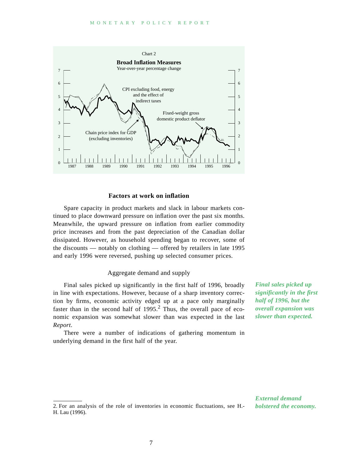

#### **Factors at work on inflation**

Spare capacity in product markets and slack in labour markets continued to place downward pressure on inflation over the past six months. Meanwhile, the upward pressure on inflation from earlier commodity price increases and from the past depreciation of the Canadian dollar dissipated. However, as household spending began to recover, some of the discounts — notably on clothing — offered by retailers in late 1995 and early 1996 were reversed, pushing up selected consumer prices.

#### Aggregate demand and supply

Final sales picked up significantly in the first half of 1996, broadly in line with expectations. However, because of a sharp inventory correction by firms, economic activity edged up at a pace only marginally faster than in the second half of  $1995<sup>2</sup>$ . Thus, the overall pace of economic expansion was somewhat slower than was expected in the last *Report*.

There were a number of indications of gathering momentum in underlying demand in the first half of the year.

*Final sales picked up significantly in the first half of 1996, but the overall expansion was slower than expected.*

2. For an analysis of the role of inventories in economic fluctuations, see H.- H. Lau (1996).

*External demand bolstered the economy.*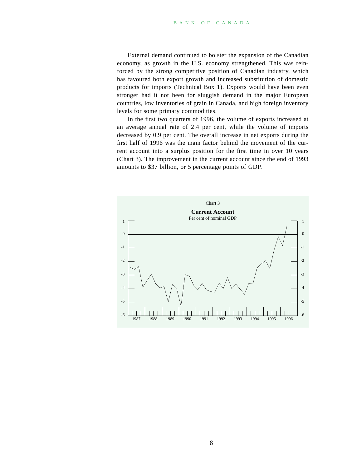External demand continued to bolster the expansion of the Canadian economy, as growth in the U.S. economy strengthened. This was reinforced by the strong competitive position of Canadian industry, which has favoured both export growth and increased substitution of domestic products for imports (Technical Box 1). Exports would have been even stronger had it not been for sluggish demand in the major European countries, low inventories of grain in Canada, and high foreign inventory levels for some primary commodities.

In the first two quarters of 1996, the volume of exports increased at an average annual rate of 2.4 per cent, while the volume of imports decreased by 0.9 per cent. The overall increase in net exports during the first half of 1996 was the main factor behind the movement of the current account into a surplus position for the first time in over 10 years (Chart 3). The improvement in the current account since the end of 1993 amounts to \$37 billion, or 5 percentage points of GDP.

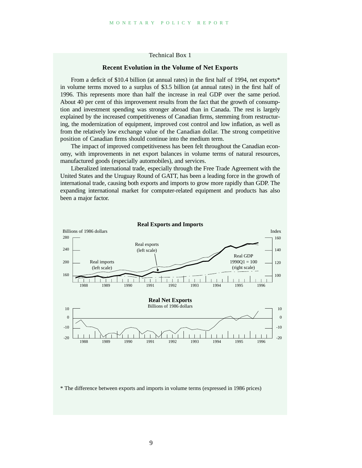#### Technical Box 1

#### **Recent Evolution in the Volume of Net Exports**

From a deficit of \$10.4 billion (at annual rates) in the first half of 1994, net exports\* in volume terms moved to a surplus of \$3.5 billion (at annual rates) in the first half of 1996. This represents more than half the increase in real GDP over the same period. About 40 per cent of this improvement results from the fact that the growth of consumption and investment spending was stronger abroad than in Canada. The rest is largely explained by the increased competitiveness of Canadian firms, stemming from restructuring, the modernization of equipment, improved cost control and low inflation, as well as from the relatively low exchange value of the Canadian dollar. The strong competitive position of Canadian firms should continue into the medium term.

The impact of improved competitiveness has been felt throughout the Canadian economy, with improvements in net export balances in volume terms of natural resources, manufactured goods (especially automobiles), and services.

Liberalized international trade, especially through the Free Trade Agreement with the United States and the Uruguay Round of GATT, has been a leading force in the growth of international trade, causing both exports and imports to grow more rapidly than GDP. The expanding international market for computer-related equipment and products has also been a major factor.



\* The difference between exports and imports in volume terms (expressed in 1986 prices)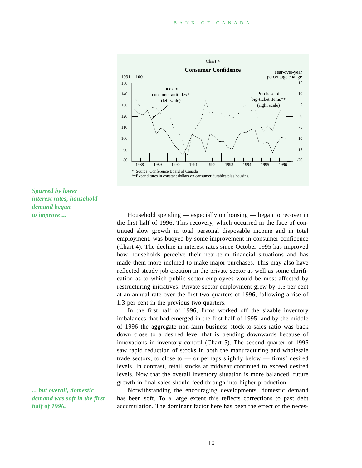

*Spurred by lower interest rates, household demand began to improve ...*

*... but overall, domestic demand was soft in the first half of 1996.*

Household spending — especially on housing — began to recover in the first half of 1996. This recovery, which occurred in the face of continued slow growth in total personal disposable income and in total employment, was buoyed by some improvement in consumer confidence (Chart 4). The decline in interest rates since October 1995 has improved how households perceive their near-term financial situations and has made them more inclined to make major purchases. This may also have reflected steady job creation in the private sector as well as some clarification as to which public sector employees would be most affected by restructuring initiatives. Private sector employment grew by 1.5 per cent at an annual rate over the first two quarters of 1996, following a rise of 1.3 per cent in the previous two quarters.

In the first half of 1996, firms worked off the sizable inventory imbalances that had emerged in the first half of 1995, and by the middle of 1996 the aggregate non-farm business stock-to-sales ratio was back down close to a desired level that is trending downwards because of innovations in inventory control (Chart 5). The second quarter of 1996 saw rapid reduction of stocks in both the manufacturing and wholesale trade sectors, to close to  $-$  or perhaps slightly below  $-$  firms' desired levels. In contrast, retail stocks at midyear continued to exceed desired levels. Now that the overall inventory situation is more balanced, future growth in final sales should feed through into higher production.

Notwithstanding the encouraging developments, domestic demand has been soft. To a large extent this reflects corrections to past debt accumulation. The dominant factor here has been the effect of the neces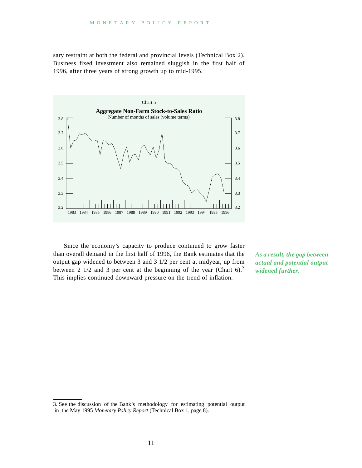sary restraint at both the federal and provincial levels (Technical Box 2). Business fixed investment also remained sluggish in the first half of 1996, after three years of strong growth up to mid-1995.



Since the economy's capacity to produce continued to grow faster than overall demand in the first half of 1996, the Bank estimates that the output gap widened to between 3 and 3 1/2 per cent at midyear, up from between 2 1/2 and 3 per cent at the beginning of the year (Chart 6).<sup>3</sup> This implies continued downward pressure on the trend of inflation.

*As a result, the gap between actual and potential output widened further.*

<sup>3.</sup> See the discussion of the Bank's methodology for estimating potential output in the May 1995 *Monetary Policy Report* (Technical Box 1, page 8).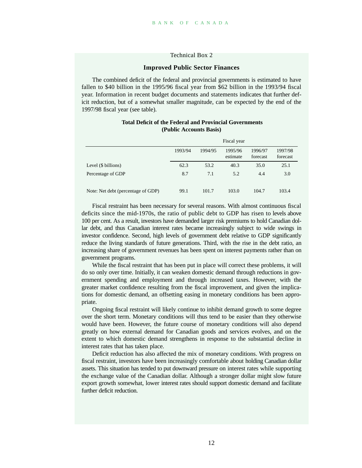#### Technical Box 2

#### **Improved Public Sector Finances**

The combined deficit of the federal and provincial governments is estimated to have fallen to \$40 billion in the 1995/96 fiscal year from \$62 billion in the 1993/94 fiscal year. Information in recent budget documents and statements indicates that further deficit reduction, but of a somewhat smaller magnitude, can be expected by the end of the 1997/98 fiscal year (see table).

|                                    | Fiscal year |         |                     |                     |                     |
|------------------------------------|-------------|---------|---------------------|---------------------|---------------------|
|                                    | 1993/94     | 1994/95 | 1995/96<br>estimate | 1996/97<br>forecast | 1997/98<br>forecast |
| Level (\$ billions)                | 62.3        | 53.2    | 40.3                | 35.0                | 25.1                |
| Percentage of GDP                  | 8.7         | 7.1     | 5.2                 | 4.4                 | 3.0                 |
| Note: Net debt (percentage of GDP) | 99.1        | 101.7   | 103.0               | 104.7               | 103.4               |

#### **Total Deficit of the Federal and Provincial Governments (Public Accounts Basis)**

Fiscal restraint has been necessary for several reasons. With almost continuous fiscal deficits since the mid-1970s, the ratio of public debt to GDP has risen to levels above 100 per cent. As a result, investors have demanded larger risk premiums to hold Canadian dollar debt, and thus Canadian interest rates became increasingly subject to wide swings in investor confidence. Second, high levels of government debt relative to GDP significantly reduce the living standards of future generations. Third, with the rise in the debt ratio, an increasing share of government revenues has been spent on interest payments rather than on government programs.

While the fiscal restraint that has been put in place will correct these problems, it will do so only over time. Initially, it can weaken domestic demand through reductions in government spending and employment and through increased taxes. However, with the greater market confidence resulting from the fiscal improvement, and given the implications for domestic demand, an offsetting easing in monetary conditions has been appropriate.

Ongoing fiscal restraint will likely continue to inhibit demand growth to some degree over the short term. Monetary conditions will thus tend to be easier than they otherwise would have been. However, the future course of monetary conditions will also depend greatly on how external demand for Canadian goods and services evolves, and on the extent to which domestic demand strengthens in response to the substantial decline in interest rates that has taken place.

Deficit reduction has also affected the mix of monetary conditions. With progress on fiscal restraint, investors have been increasingly comfortable about holding Canadian dollar assets. This situation has tended to put downward pressure on interest rates while supporting the exchange value of the Canadian dollar. Although a stronger dollar might slow future export growth somewhat, lower interest rates should support domestic demand and facilitate further deficit reduction.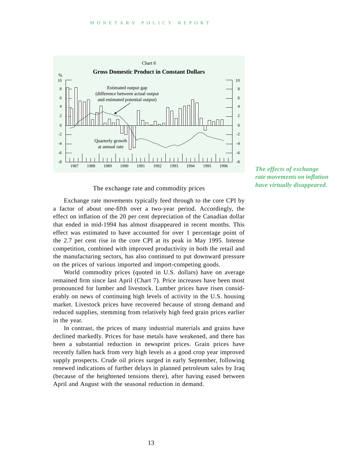

The exchange rate and commodity prices

Exchange rate movements typically feed through to the core CPI by a factor of about one-fifth over a two-year period. Accordingly, the effect on inflation of the 20 per cent depreciation of the Canadian dollar that ended in mid-1994 has almost disappeared in recent months. This effect was estimated to have accounted for over 1 percentage point of the 2.7 per cent rise in the core CPI at its peak in May 1995. Intense competition, combined with improved productivity in both the retail and the manufacturing sectors, has also continued to put downward pressure on the prices of various imported and import-competing goods.

World commodity prices (quoted in U.S. dollars) have on average remained firm since last April (Chart 7). Price increases have been most pronounced for lumber and livestock. Lumber prices have risen considerably on news of continuing high levels of activity in the U.S. housing market. Livestock prices have recovered because of strong demand and reduced supplies, stemming from relatively high feed grain prices earlier in the year.

In contrast, the prices of many industrial materials and grains have declined markedly. Prices for base metals have weakened, and there has been a substantial reduction in newsprint prices. Grain prices have recently fallen back from very high levels as a good crop year improved supply prospects. Crude oil prices surged in early September, following renewed indications of further delays in planned petroleum sales by Iraq (because of the heightened tensions there), after having eased between April and August with the seasonal reduction in demand.

#### *The effects of exchange rate movements on inflation have virtually disappeared.*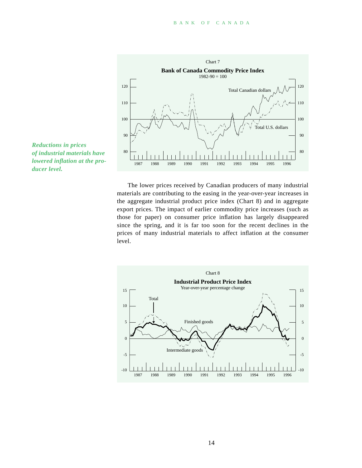



The lower prices received by Canadian producers of many industrial materials are contributing to the easing in the year-over-year increases in the aggregate industrial product price index (Chart 8) and in aggregate export prices. The impact of earlier commodity price increases (such as those for paper) on consumer price inflation has largely disappeared since the spring, and it is far too soon for the recent declines in the prices of many industrial materials to affect inflation at the consumer level.



14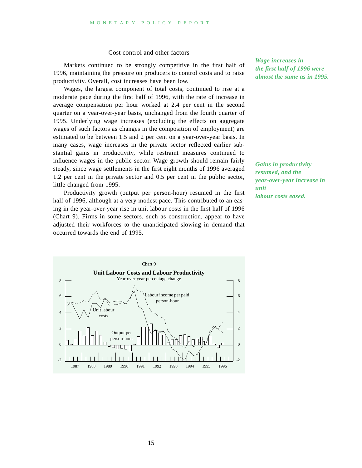#### Cost control and other factors

Markets continued to be strongly competitive in the first half of 1996, maintaining the pressure on producers to control costs and to raise productivity. Overall, cost increases have been low.

Wages, the largest component of total costs, continued to rise at a moderate pace during the first half of 1996, with the rate of increase in average compensation per hour worked at 2.4 per cent in the second quarter on a year-over-year basis, unchanged from the fourth quarter of 1995. Underlying wage increases (excluding the effects on aggregate wages of such factors as changes in the composition of employment) are estimated to be between 1.5 and 2 per cent on a year-over-year basis. In many cases, wage increases in the private sector reflected earlier substantial gains in productivity, while restraint measures continued to influence wages in the public sector. Wage growth should remain fairly steady, since wage settlements in the first eight months of 1996 averaged 1.2 per cent in the private sector and 0.5 per cent in the public sector, little changed from 1995.

Productivity growth (output per person-hour) resumed in the first half of 1996, although at a very modest pace. This contributed to an easing in the year-over-year rise in unit labour costs in the first half of 1996 (Chart 9). Firms in some sectors, such as construction, appear to have adjusted their workforces to the unanticipated slowing in demand that occurred towards the end of 1995.



*Gains in productivity resumed, and the year-over-year increase in unit labour costs eased.*

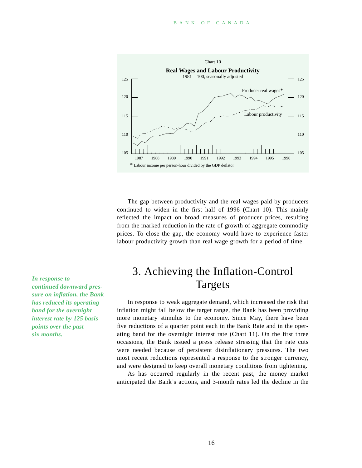

The gap between productivity and the real wages paid by producers continued to widen in the first half of 1996 (Chart 10). This mainly reflected the impact on broad measures of producer prices, resulting from the marked reduction in the rate of growth of aggregate commodity prices. To close the gap, the economy would have to experience faster labour productivity growth than real wage growth for a period of time.

3. Achieving the Inflation-Control Targets

In response to weak aggregate demand, which increased the risk that inflation might fall below the target range, the Bank has been providing more monetary stimulus to the economy. Since May, there have been five reductions of a quarter point each in the Bank Rate and in the operating band for the overnight interest rate (Chart 11). On the first three occasions, the Bank issued a press release stressing that the rate cuts were needed because of persistent disinflationary pressures. The two most recent reductions represented a response to the stronger currency, and were designed to keep overall monetary conditions from tightening.

As has occurred regularly in the recent past, the money market anticipated the Bank's actions, and 3-month rates led the decline in the

*In response to continued downward pressure on inflation, the Bank has reduced its operating band for the overnight interest rate by 125 basis points over the past six months.*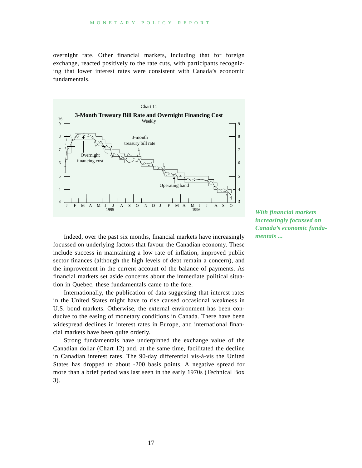overnight rate. Other financial markets, including that for foreign exchange, reacted positively to the rate cuts, with participants recognizing that lower interest rates were consistent with Canada's economic fundamentals.



Indeed, over the past six months, financial markets have increasingly focussed on underlying factors that favour the Canadian economy. These include success in maintaining a low rate of inflation, improved public sector finances (although the high levels of debt remain a concern), and the improvement in the current account of the balance of payments. As financial markets set aside concerns about the immediate political situation in Quebec, these fundamentals came to the fore.

Internationally, the publication of data suggesting that interest rates in the United States might have to rise caused occasional weakness in U.S. bond markets. Otherwise, the external environment has been conducive to the easing of monetary conditions in Canada. There have been widespread declines in interest rates in Europe, and international financial markets have been quite orderly.

Strong fundamentals have underpinned the exchange value of the Canadian dollar (Chart 12) and, at the same time, facilitated the decline in Canadian interest rates. The 90-day differential vis-à-vis the United States has dropped to about -200 basis points. A negative spread for more than a brief period was last seen in the early 1970s (Technical Box 3).

*With financial markets increasingly focussed on Canada's economic fundamentals ...*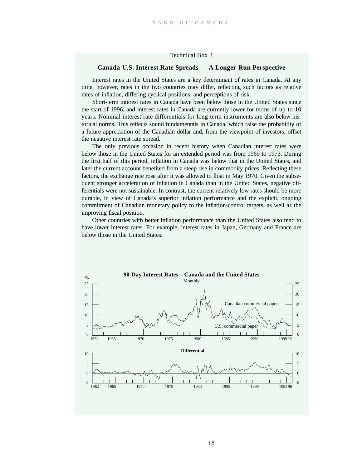Technical Box 3

#### **Canada-U.S. Interest Rate Spreads — A Longer-Run Perspective**

Interest rates in the United States are a key determinant of rates in Canada. At any time, however, rates in the two countries may differ, reflecting such factors as relative rates of inflation, differing cyclical positions, and perceptions of risk.

Short-term interest rates in Canada have been below those in the United States since the start of 1996, and interest rates in Canada are currently lower for terms of up to 10 years. Nominal interest rate differentials for long-term instruments are also below historical norms. This reflects sound fundamentals in Canada, which raise the probability of a future appreciation of the Canadian dollar and, from the viewpoint of investors, offset the negative interest rate spread.

The only previous occasion in recent history when Canadian interest rates were below those in the United States for an extended period was from 1969 to 1973. During the first half of this period, inflation in Canada was below that in the United States, and later the current account benefited from a steep rise in commodity prices. Reflecting these factors, the exchange rate rose after it was allowed to float in May 1970. Given the subsequent stronger acceleration of inflation in Canada than in the United States, negative differentials were not sustainable. In contrast, the current relatively low rates should be more durable, in view of Canada's superior inflation performance and the explicit, ongoing commitment of Canadian monetary policy to the inflation-control targets, as well as the improving fiscal position.

Other countries with better inflation performance than the United States also tend to have lower interest rates. For example, interest rates in Japan, Germany and France are below those in the United States.

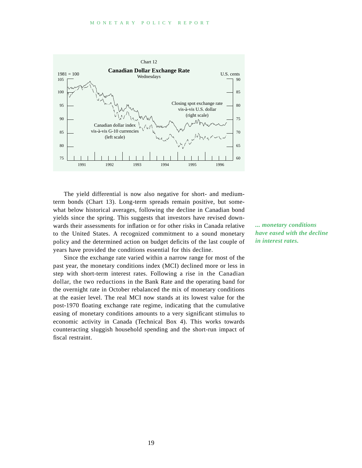

The yield differential is now also negative for short- and mediumterm bonds (Chart 13). Long-term spreads remain positive, but somewhat below historical averages, following the decline in Canadian bond yields since the spring. This suggests that investors have revised downwards their assessments for inflation or for other risks in Canada relative to the United States. A recognized commitment to a sound monetary policy and the determined action on budget deficits of the last couple of years have provided the conditions essential for this decline.

Since the exchange rate varied within a narrow range for most of the past year, the monetary conditions index (MCI) declined more or less in step with short-term interest rates. Following a rise in the Canadian dollar, the two reductions in the Bank Rate and the operating band for the overnight rate in October rebalanced the mix of monetary conditions at the easier level. The real MCI now stands at its lowest value for the post-1970 floating exchange rate regime, indicating that the cumulative easing of monetary conditions amounts to a very significant stimulus to economic activity in Canada (Technical Box 4). This works towards counteracting sluggish household spending and the short-run impact of fiscal restraint.

*... monetary conditions have eased with the decline in interest rates.*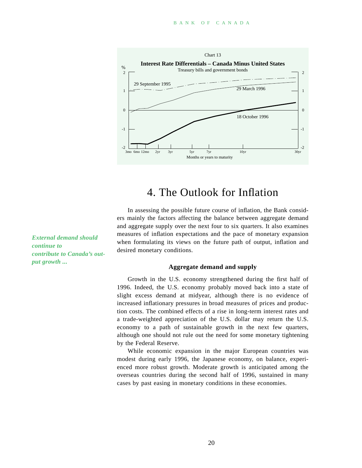

### 4. The Outlook for Inflation

In assessing the possible future course of inflation, the Bank considers mainly the factors affecting the balance between aggregate demand and aggregate supply over the next four to six quarters. It also examines measures of inflation expectations and the pace of monetary expansion when formulating its views on the future path of output, inflation and desired monetary conditions.

**Aggregate demand and supply**

Growth in the U.S. economy strengthened during the first half of 1996. Indeed, the U.S. economy probably moved back into a state of slight excess demand at midyear, although there is no evidence of increased inflationary pressures in broad measures of prices and production costs. The combined effects of a rise in long-term interest rates and a trade-weighted appreciation of the U.S. dollar may return the U.S. economy to a path of sustainable growth in the next few quarters, although one should not rule out the need for some monetary tightening by the Federal Reserve.

While economic expansion in the major European countries was modest during early 1996, the Japanese economy, on balance, experienced more robust growth. Moderate growth is anticipated among the overseas countries during the second half of 1996, sustained in many cases by past easing in monetary conditions in these economies.

*External demand should continue to contribute to Canada's output growth ...*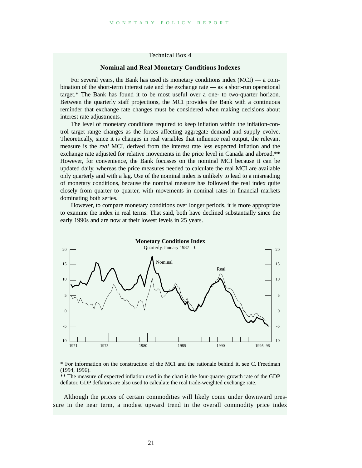#### Technical Box 4

#### **Nominal and Real Monetary Conditions Indexes**

For several years, the Bank has used its monetary conditions index (MCI) — a combination of the short-term interest rate and the exchange rate — as a short-run operational target.\* The Bank has found it to be most useful over a one- to two-quarter horizon. Between the quarterly staff projections, the MCI provides the Bank with a continuous reminder that exchange rate changes must be considered when making decisions about interest rate adjustments.

The level of monetary conditions required to keep inflation within the inflation-control target range changes as the forces affecting aggregate demand and supply evolve. Theoretically, since it is changes in real variables that influence real output, the relevant measure is the *real* MCI, derived from the interest rate less expected inflation and the exchange rate adjusted for relative movements in the price level in Canada and abroad.\*\* However, for convenience, the Bank focusses on the nominal MCI because it can be updated daily, whereas the price measures needed to calculate the real MCI are available only quarterly and with a lag. Use of the nominal index is unlikely to lead to a misreading of monetary conditions, because the nominal measure has followed the real index quite closely from quarter to quarter, with movements in nominal rates in financial markets dominating both series.

However, to compare monetary conditions over longer periods, it is more appropriate to examine the index in real terms. That said, both have declined substantially since the early 1990s and are now at their lowest levels in 25 years.



\* For information on the construction of the MCI and the rationale behind it, see C. Freedman (1994, 1996).

\*\* The measure of expected inflation used in the chart is the four-quarter growth rate of the GDP deflator. GDP deflators are also used to calculate the real trade-weighted exchange rate.

Although the prices of certain commodities will likely come under downward pressure in the near term, a modest upward trend in the overall commodity price index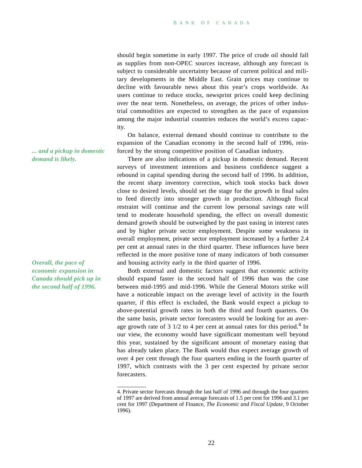should begin sometime in early 1997. The price of crude oil should fall as supplies from non-OPEC sources increase, although any forecast is subject to considerable uncertainty because of current political and military developments in the Middle East. Grain prices may continue to decline with favourable news about this year's crops worldwide. As users continue to reduce stocks, newsprint prices could keep declining over the near term. Nonetheless, on average, the prices of other industrial commodities are expected to strengthen as the pace of expansion among the major industrial countries reduces the world's excess capacity.

On balance, external demand should continue to contribute to the expansion of the Canadian economy in the second half of 1996, reinforced by the strong competitive position of Canadian industry.

There are also indications of a pickup in domestic demand. Recent surveys of investment intentions and business confidence suggest a rebound in capital spending during the second half of 1996. In addition, the recent sharp inventory correction, which took stocks back down close to desired levels, should set the stage for the growth in final sales to feed directly into stronger growth in production. Although fiscal restraint will continue and the current low personal savings rate will tend to moderate household spending, the effect on overall domestic demand growth should be outweighed by the past easing in interest rates and by higher private sector employment. Despite some weakness in overall employment, private sector employment increased by a further 2.4 per cent at annual rates in the third quarter. These influences have been reflected in the more positive tone of many indicators of both consumer and housing activity early in the third quarter of 1996.

Both external and domestic factors suggest that economic activity should expand faster in the second half of 1996 than was the case between mid-1995 and mid-1996. While the General Motors strike will have a noticeable impact on the average level of activity in the fourth quarter, if this effect is excluded, the Bank would expect a pickup to above-potential growth rates in both the third and fourth quarters. On the same basis, private sector forecasters would be looking for an average growth rate of 3  $1/2$  to 4 per cent at annual rates for this period.<sup>4</sup> In our view, the economy would have significant momentum well beyond this year, sustained by the significant amount of monetary easing that has already taken place. The Bank would thus expect average growth of over 4 per cent through the four quarters ending in the fourth quarter of 1997, which contrasts with the 3 per cent expected by private sector forecasters.

*... and a pickup in domestic demand is likely.*

*Overall, the pace of economic expansion in Canada should pick up in the second half of 1996.*

<sup>4.</sup> Private sector forecasts through the last half of 1996 and through the four quarters of 1997 are derived from annual average forecasts of 1.5 per cent for 1996 and 3.1 per cent for 1997 (Department of Finance, *The Economic and Fiscal Update*, 9 October 1996).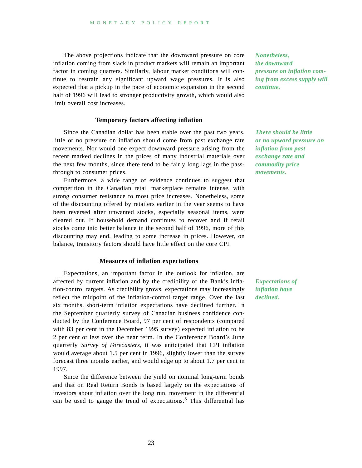The above projections indicate that the downward pressure on core inflation coming from slack in product markets will remain an important factor in coming quarters. Similarly, labour market conditions will continue to restrain any significant upward wage pressures. It is also expected that a pickup in the pace of economic expansion in the second half of 1996 will lead to stronger productivity growth, which would also limit overall cost increases.

#### **Temporary factors affecting inflation**

Since the Canadian dollar has been stable over the past two years, little or no pressure on inflation should come from past exchange rate movements. Nor would one expect downward pressure arising from the recent marked declines in the prices of many industrial materials over the next few months, since there tend to be fairly long lags in the passthrough to consumer prices.

Furthermore, a wide range of evidence continues to suggest that competition in the Canadian retail marketplace remains intense, with strong consumer resistance to most price increases. Nonetheless, some of the discounting offered by retailers earlier in the year seems to have been reversed after unwanted stocks, especially seasonal items, were cleared out. If household demand continues to recover and if retail stocks come into better balance in the second half of 1996, more of this discounting may end, leading to some increase in prices. However, on balance, transitory factors should have little effect on the core CPI.

#### **Measures of inflation expectations**

Expectations, an important factor in the outlook for inflation, are affected by current inflation and by the credibility of the Bank's inflation-control targets. As credibility grows, expectations may increasingly reflect the midpoint of the inflation-control target range. Over the last six months, short-term inflation expectations have declined further. In the September quarterly survey of Canadian business confidence conducted by the Conference Board, 97 per cent of respondents (compared with 83 per cent in the December 1995 survey) expected inflation to be 2 per cent or less over the near term. In the Conference Board's June quarterly *Survey of Forecasters*, it was anticipated that CPI inflation would average about 1.5 per cent in 1996, slightly lower than the survey forecast three months earlier, and would edge up to about 1.7 per cent in 1997.

Since the difference between the yield on nominal long-term bonds and that on Real Return Bonds is based largely on the expectations of investors about inflation over the long run, movement in the differential can be used to gauge the trend of expectations.<sup>5</sup> This differential has

*Nonetheless, the downward pressure on inflation coming from excess supply will continue.*

*There should be little or no upward pressure on inflation from past exchange rate and commodity price movements.*

*Expectations of inflation have declined.*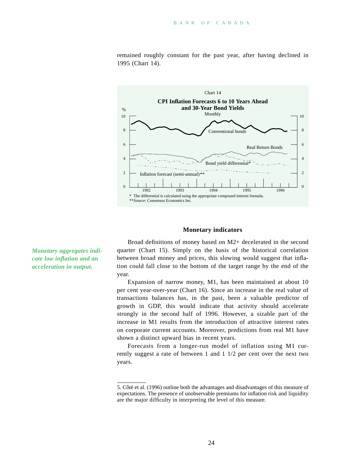

remained roughly constant for the past year, after having declined in 1995 (Chart 14).

#### **Monetary indicators**

Broad definitions of money based on M2+ decelerated in the second quarter (Chart 15). Simply on the basis of the historical correlation between broad money and prices, this slowing would suggest that inflation could fall close to the bottom of the target range by the end of the year.

Expansion of narrow money, M1, has been maintained at about 10 per cent year-over-year (Chart 16). Since an increase in the real value of transactions balances has, in the past, been a valuable predictor of growth in GDP, this would indicate that activity should accelerate strongly in the second half of 1996. However, a sizable part of the increase in M1 results from the introduction of attractive interest rates on corporate current accounts. Moreover, predictions from real M1 have shown a distinct upward bias in recent years.

Forecasts from a longer-run model of inflation using M1 currently suggest a rate of between 1 and 1 1/2 per cent over the next two years.

*Monetary aggregates indicate low inflation and an acceleration in output.*

<sup>5.</sup> Côté et al. (1996) outline both the advantages and disadvantages of this measure of expectations. The presence of unobservable premiums for inflation risk and liquidity are the major difficulty in interpreting the level of this measure.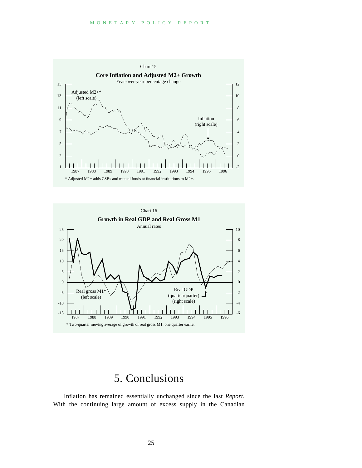



# 5. Conclusions

Inflation has remained essentially unchanged since the last *Report*. With the continuing large amount of excess supply in the Canadian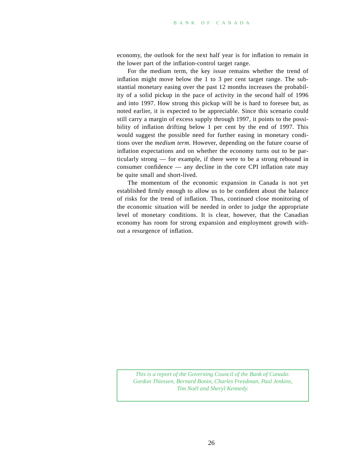economy, the outlook for the next half year is for inflation to remain in the lower part of the inflation-control target range.

For the medium term, the key issue remains whether the trend of inflation might move below the 1 to 3 per cent target range. The substantial monetary easing over the past 12 months increases the probability of a solid pickup in the pace of activity in the second half of 1996 and into 1997. How strong this pickup will be is hard to foresee but, as noted earlier, it is expected to be appreciable. Since this scenario could still carry a margin of excess supply through 1997, it points to the possibility of inflation drifting below 1 per cent by the end of 1997. This would suggest the possible need for further easing in monetary conditions over the *medium term*. However, depending on the future course of inflation expectations and on whether the economy turns out to be particularly strong — for example, if there were to be a strong rebound in consumer confidence — any decline in the core CPI inflation rate may be quite small and short-lived.

The momentum of the economic expansion in Canada is not yet established firmly enough to allow us to be confident about the balance of risks for the trend of inflation. Thus, continued close monitoring of the economic situation will be needed in order to judge the appropriate level of monetary conditions. It is clear, however, that the Canadian economy has room for strong expansion and employment growth without a resurgence of inflation.

*This is a report of the Governing Council of the Bank of Canada: Gordon Thiessen, Bernard Bonin, Charles Freedman, Paul Jenkins, Tim Noël and Sheryl Kennedy.*